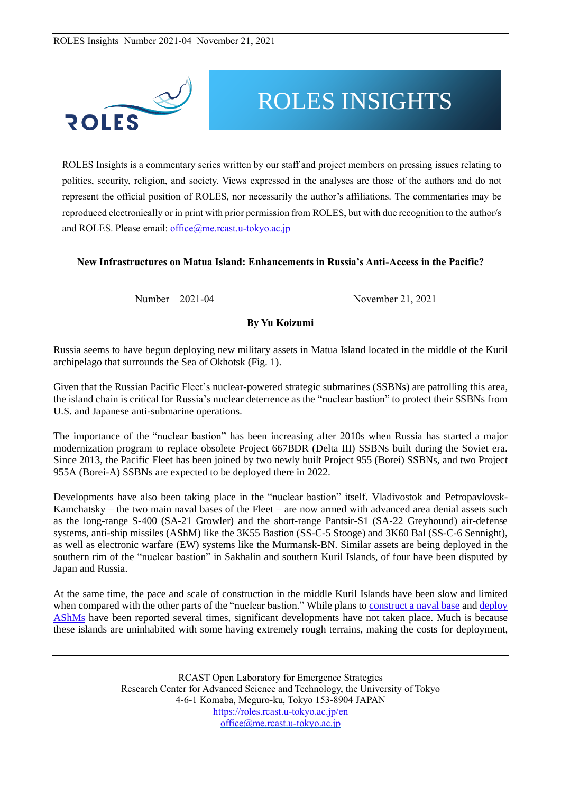

# ROLES INSIGHTS

ROLES Insights is a commentary series written by our staff and project members on pressing issues relating to politics, security, religion, and society. Views expressed in the analyses are those of the authors and do not represent the official position of ROLES, nor necessarily the author's affiliations. The commentaries may be reproduced electronically or in print with prior permission from ROLES, but with due recognition to the author/s and ROLES. Please email: [office@me.rcast.u-tokyo.ac.jp](mailto:office@me.rcast.u-tokyo.ac.jp)

#### **New Infrastructures on Matua Island: Enhancements in Russia's Anti-Access in the Pacific?**

Number 2021-04 November 21, 2021

### **By Yu Koizumi**

Russia seems to have begun deploying new military assets in Matua Island located in the middle of the Kuril archipelago that surrounds the Sea of Okhotsk (Fig. 1).

Given that the Russian Pacific Fleet's nuclear-powered strategic submarines (SSBNs) are patrolling this area, the island chain is critical for Russia's nuclear deterrence as the "nuclear bastion" to protect their SSBNs from U.S. and Japanese anti-submarine operations.

The importance of the "nuclear bastion" has been increasing after 2010s when Russia has started a major modernization program to replace obsolete Project 667BDR (Delta III) SSBNs built during the Soviet era. Since 2013, the Pacific Fleet has been joined by two newly built Project 955 (Borei) SSBNs, and two Project 955A (Borei-A) SSBNs are expected to be deployed there in 2022.

Developments have also been taking place in the "nuclear bastion" itself. Vladivostok and Petropavlovsk-Kamchatsky – the two main naval bases of the Fleet – are now armed with advanced area denial assets such as the long-range S-400 (SA-21 Growler) and the short-range Pantsir-S1 (SA-22 Greyhound) air-defense systems, anti-ship missiles (AShM) like the 3K55 Bastion (SS-C-5 Stooge) and 3K60 Bal (SS-C-6 Sennight), as well as electronic warfare (EW) systems like the Murmansk-BN. Similar assets are being deployed in the southern rim of the "nuclear bastion" in Sakhalin and southern Kuril Islands, of four have been disputed by Japan and Russia.

At the same time, the pace and scale of construction in the middle Kuril Islands have been slow and limited when compared with the other parts of the "nuclear bastion." While plans to [construct](https://ria.ru/20171026/1507573696.html) a naval base and [deploy](https://iz.ru/676106/nikolai-surkov-aleksei-ramm/bastion-na-kurilakh) [AShMs](https://iz.ru/676106/nikolai-surkov-aleksei-ramm/bastion-na-kurilakh) have been reported several times, significant developments have not taken place. Much is because these islands are uninhabited with some having extremely rough terrains, making the costs for deployment,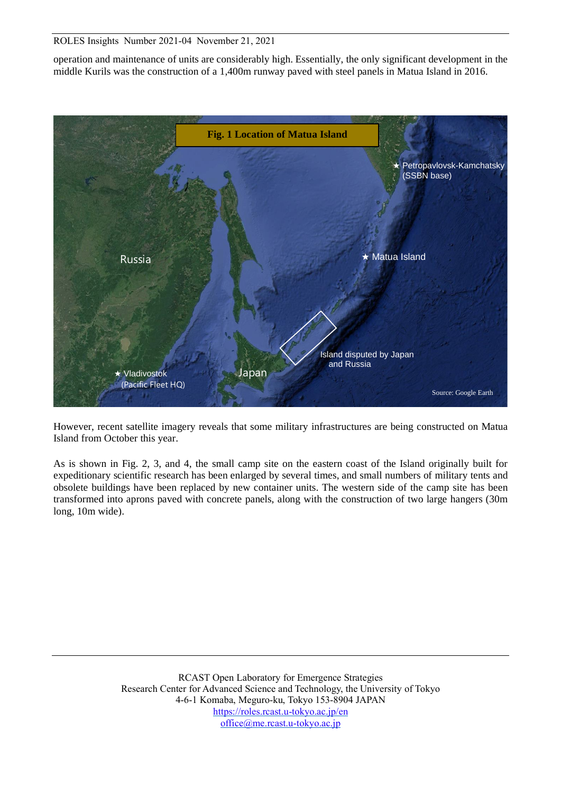operation and maintenance of units are considerably high. Essentially, the only significant development in the middle Kurils was the construction of a 1,400m runway paved with steel panels in Matua Island in 2016.



However, recent satellite imagery reveals that some military infrastructures are being constructed on Matua Island from October this year.

As is shown in Fig. 2, 3, and 4, the small camp site on the eastern coast of the Island originally built for expeditionary scientific research has been enlarged by several times, and small numbers of military tents and obsolete buildings have been replaced by new container units. The western side of the camp site has been transformed into aprons paved with concrete panels, along with the construction of two large hangers (30m long, 10m wide).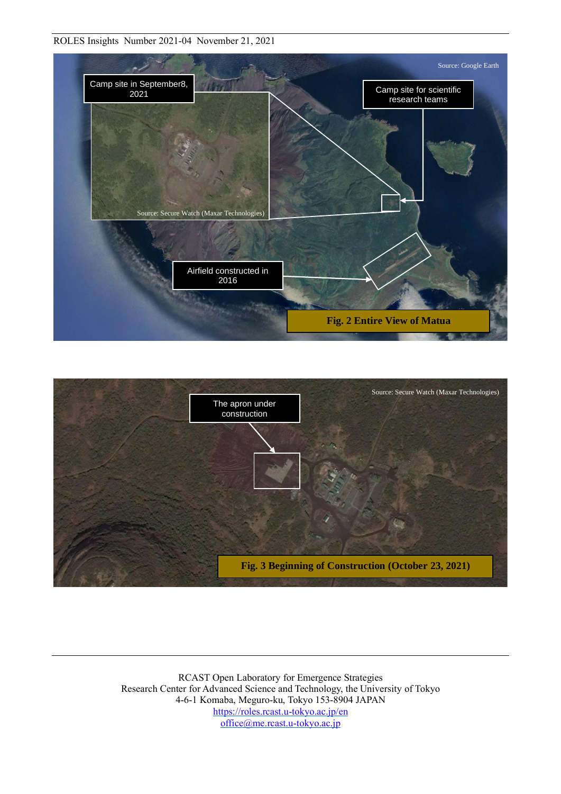

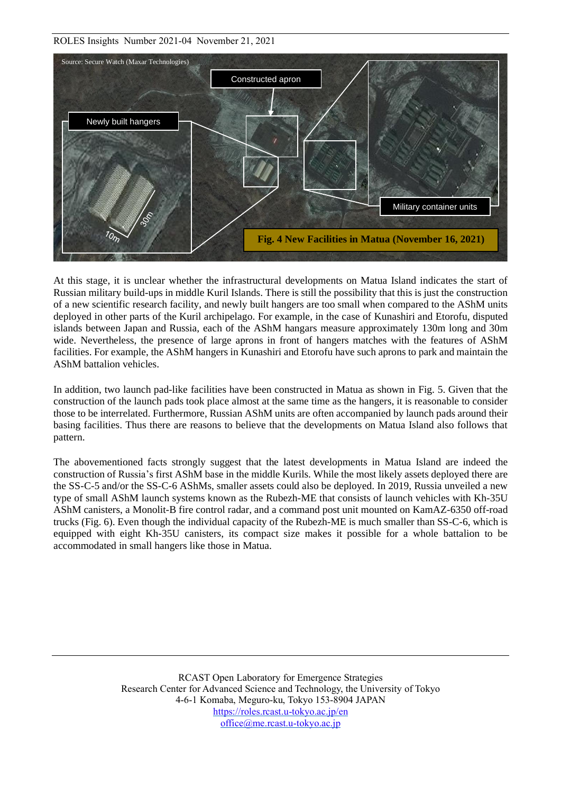

At this stage, it is unclear whether the infrastructural developments on Matua Island indicates the start of Russian military build-ups in middle Kuril Islands. There is still the possibility that this is just the construction of a new scientific research facility, and newly built hangers are too small when compared to the AShM units deployed in other parts of the Kuril archipelago. For example, in the case of Kunashiri and Etorofu, disputed islands between Japan and Russia, each of the AShM hangars measure approximately 130m long and 30m wide. Nevertheless, the presence of large aprons in front of hangers matches with the features of AShM facilities. For example, the AShM hangers in Kunashiri and Etorofu have such aprons to park and maintain the AShM battalion vehicles.

In addition, two launch pad-like facilities have been constructed in Matua as shown in Fig. 5. Given that the construction of the launch pads took place almost at the same time as the hangers, it is reasonable to consider those to be interrelated. Furthermore, Russian AShM units are often accompanied by launch pads around their basing facilities. Thus there are reasons to believe that the developments on Matua Island also follows that pattern.

The abovementioned facts strongly suggest that the latest developments in Matua Island are indeed the construction of Russia's first AShM base in the middle Kurils. While the most likely assets deployed there are the SS-C-5 and/or the SS-C-6 AShMs, smaller assets could also be deployed. In 2019, Russia unveiled a new type of small AShM launch systems known as the Rubezh-ME that consists of launch vehicles with Kh-35U AShM canisters, a Monolit-B fire control radar, and a command post unit mounted on KamAZ-6350 off-road trucks (Fig. 6). Even though the individual capacity of the Rubezh-ME is much smaller than SS-C-6, which is equipped with eight Kh-35U canisters, its compact size makes it possible for a whole battalion to be accommodated in small hangers like those in Matua.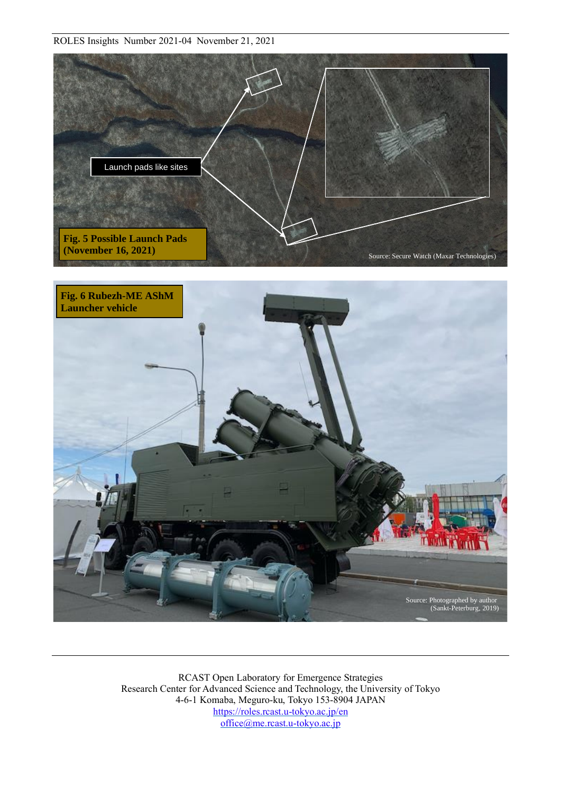